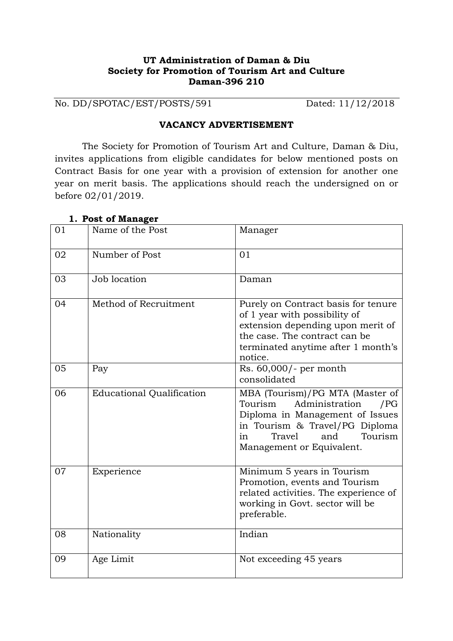## **UT Administration of Daman & Diu Society for Promotion of Tourism Art and Culture Daman-396 210**

No. DD/SPOTAC/EST/POSTS/591 Dated: 11/12/2018

#### **VACANCY ADVERTISEMENT**

The Society for Promotion of Tourism Art and Culture, Daman & Diu, invites applications from eligible candidates for below mentioned posts on Contract Basis for one year with a provision of extension for another one year on merit basis. The applications should reach the undersigned on or before 02/01/2019.

| 01 | Name of the Post                 | Manager                                                                                                                                                                                                 |
|----|----------------------------------|---------------------------------------------------------------------------------------------------------------------------------------------------------------------------------------------------------|
| 02 | Number of Post                   | 01                                                                                                                                                                                                      |
| 03 | Job location                     | Daman                                                                                                                                                                                                   |
| 04 | Method of Recruitment            | Purely on Contract basis for tenure<br>of 1 year with possibility of<br>extension depending upon merit of<br>the case. The contract can be<br>terminated anytime after 1 month's<br>notice.             |
| 05 | Pay                              | Rs. 60,000/- per month<br>consolidated                                                                                                                                                                  |
| 06 | <b>Educational Qualification</b> | MBA (Tourism)/PG MTA (Master of<br>Tourism<br>Administration<br>/PG<br>Diploma in Management of Issues<br>in Tourism & Travel/PG Diploma<br>Tourism<br>Travel<br>and<br>in<br>Management or Equivalent. |
| 07 | Experience                       | Minimum 5 years in Tourism<br>Promotion, events and Tourism<br>related activities. The experience of<br>working in Govt. sector will be<br>preferable.                                                  |
| 08 | Nationality                      | Indian                                                                                                                                                                                                  |
| 09 | Age Limit                        | Not exceeding 45 years                                                                                                                                                                                  |

#### **1. Post of Manager**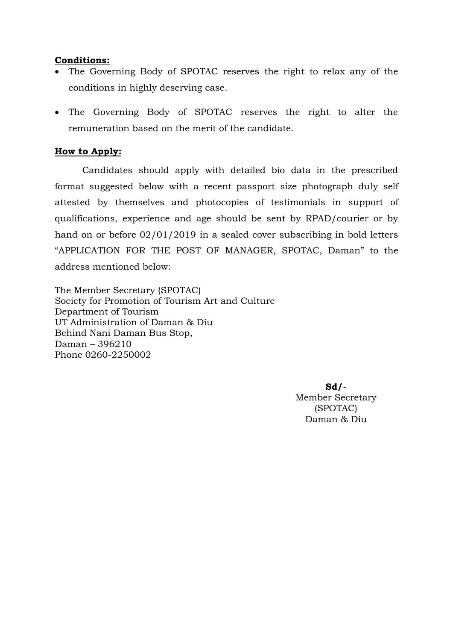### **Conditions:**

- The Governing Body of SPOTAC reserves the right to relax any of the conditions in highly deserving case.
- The Governing Body of SPOTAC reserves the right to alter the remuneration based on the merit of the candidate.

## **How to Apply:**

Candidates should apply with detailed bio data in the prescribed format suggested below with a recent passport size photograph duly self attested by themselves and photocopies of testimonials in support of qualifications, experience and age should be sent by RPAD/courier or by hand on or before 02/01/2019 in a sealed cover subscribing in bold letters "APPLICATION FOR THE POST OF MANAGER, SPOTAC, Daman" to the address mentioned below:

The Member Secretary (SPOTAC) Society for Promotion of Tourism Art and Culture Department of Tourism UT Administration of Daman & Diu Behind Nani Daman Bus Stop, Daman – 396210 Phone 0260-2250002

> **Sd/**- Member Secretary (SPOTAC) Daman & Diu